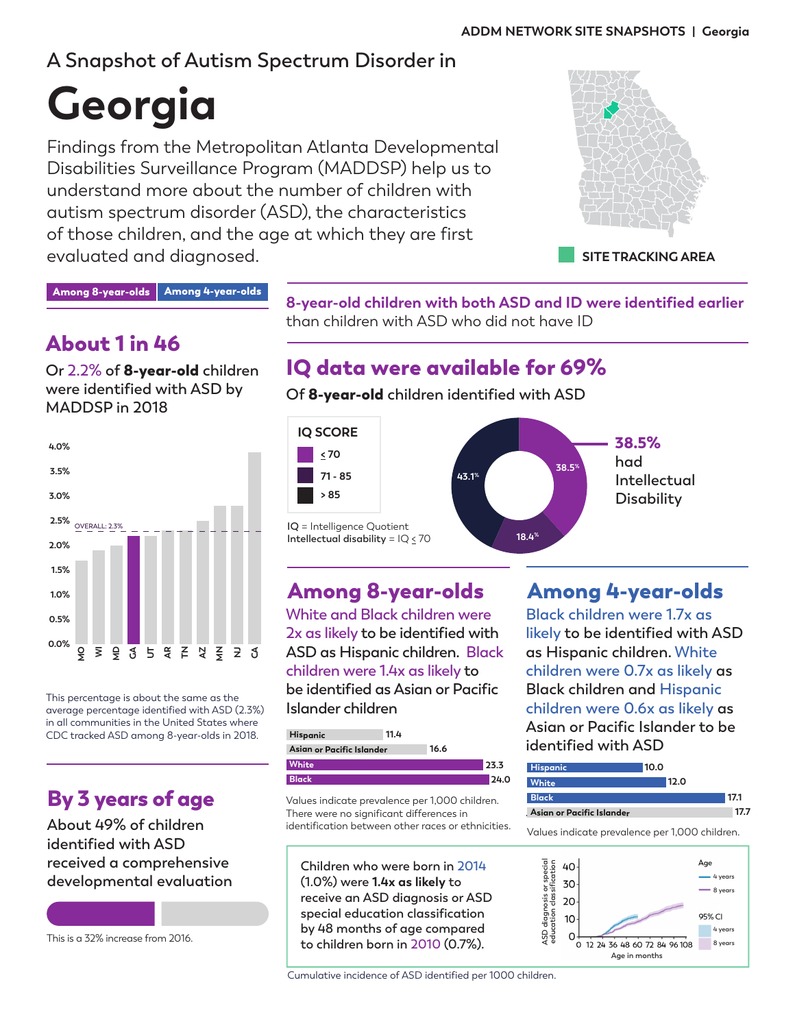# **A Snapshot of Autism Spectrum Disorder in**

# **Georgia**

Findings from the Metropolitan Atlanta Developmental Disabilities Surveillance Program (MADDSP) help us to understand more about the number of children with autism spectrum disorder (ASD), the characteristics of those children, and the age at which they are first evaluated and diagnosed.



Among 8-year-olds | Among 4-year-olds

# About 1 in 46

**Or 2.2% of** 8-year-old **children were identified with ASD by MADDSP in 2018**



This percentage is about the same as the average percentage identified with ASD (2.3%) in all communities in the United States where CDC tracked ASD among 8-year-olds in 2018.

# By 3 years of age

**About 49% of children identified with ASD received a comprehensive developmental evaluation**

This is a 32% increase from 2016.

**8-year-old children with both ASD and ID were identified earlier** than children with ASD who did not have ID

# IQ data were available for 69%

**Of** 8-year-old **children identified with ASD**



**White and Black children were 2x as likely to be identified with ASD as Hispanic children. Black children were 1.4x as likely to be identified as Asian or Pacific Islander children**

| Hispanic                  | 11.4 |      |      |
|---------------------------|------|------|------|
| Asian or Pacific Islander |      | 16.6 |      |
| White                     |      |      | 23.3 |
| <b>Black</b>              |      |      | 24.0 |

Values indicate prevalence per 1,000 children. There were no significant differences in identification between other races or ethnicities.

**Children who were born in 2014 (1.0%) were 1.4x as likely to receive an ASD diagnosis or ASD special education classification by 48 months of age compared to children born in 2010 (0.7%).**

Cumulative incidence of ASD identified per 1000 children.

## Among 8-year-olds Among 4-year-olds

**Black children were 1.7x as likely to be identified with ASD as Hispanic children. White children were 0.7x as likely as Black children and Hispanic children were 0.6x as likely as Asian or Pacific Islander to be identified with ASD**